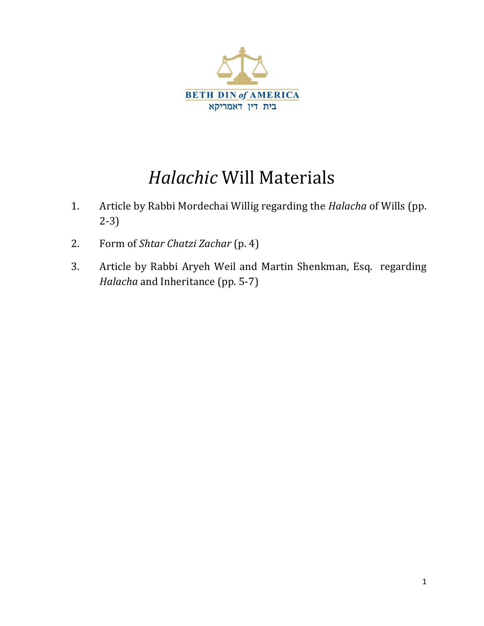

# *Halachic* Will Materials

- 1. Article by Rabbi Mordechai Willig regarding the *Halacha* of Wills (pp. 2‐3)
- 2. Form of *Shtar Chatzi Zachar* (p. 4)
- 3. Article by Rabbi Aryeh Weil and Martin Shenkman, Esq. regarding *Halacha* and Inheritance (pp. 5‐7)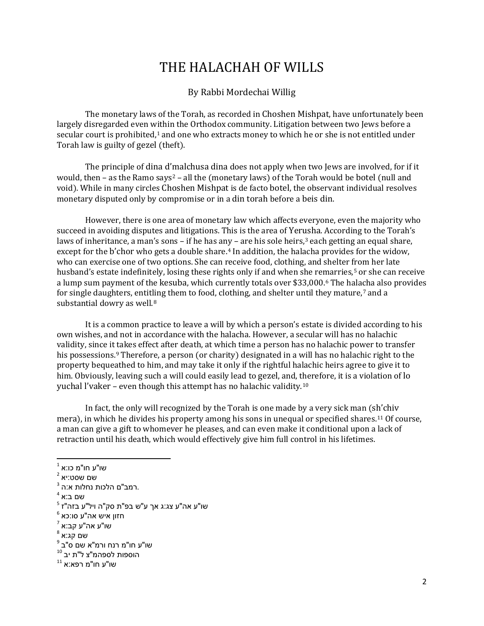## THE HALACHAH OF WILLS

#### By Rabbi Mordechai Willig

 The monetary laws of the Torah, as recorded in Choshen Mishpat, have unfortunately been largely disregarded even within the Orthodox community. Litigation between two Jews before a secular court is prohibited,<sup>1</sup> and one who extracts money to which he or she is not entitled under Torah law is guilty of gezel (theft).

 The principle of dina d'[m](#page-1-1)alchusa dina does not apply when two Jews are involved, for if it would, then – as the Ramo says<sup>2</sup> – all the (monetary laws) of the Torah would be botel (null and void). While in many circles Choshen Mishpat is de facto botel, the observant individual resolves monetary disputed only by compromise or in a din torah before a beis din.

 However, there is one area of monetary law which affects everyone, even the majority who succeed in avoiding disputes and litigations. This is the area of Yer[us](#page-1-2)ha. According to the Torah's laws of inheritance, a man's sons – if he has any – are his sole heirs, $3$  each getting an equal share, except for the b'chor who gets a double share.[4](#page-1-3) In addition, the halacha provides for the widow, who can exercise one of two options. She can receive food, clothing, and shelter [fr](#page-1-4)om her late husband's estate indefinitely, losing these rights only if and when she remarries,<sup>5</sup> or she can receive a lump sum payment of the kesuba, which currently totals over \$33,000.[6](#page-1-5) The hala[c](#page-1-6)ha also provides for single daughters, entit[lin](#page-1-7)g them to food, clothing, and shelter until they mature,<sup>7</sup> and a substantial dowry as well.8

 [It is a common practice to leave a will by which a person's estate is divided according to his](#page-1-7)  own wishes, and not in accordance with the halacha. However, a secular will has no halachic [validity, since it takes effect after death, at which time a person has no halachic power to transfer](#page-1-7)  his possessions.<sup>9</sup> Therefore, a person (or charity) designated in a will has no halachic right to the [property bequea](#page-1-7)[t](#page-1-8)hed to him, and may take it only if the rightful halachic heirs agree to give it to [him. Obviously, leaving such a will could easily lead to gezel, and, therefore, it is a violation of lo](#page-1-8)  yuchal l'vaker – even though this attempt has no halachic validity.<sup>10</sup>

In fact, the only will recognized by the Torah is one made by a very sick man (sh'chiv mera), in which he divides his property among his sons in unequal or specified shares.<sup>11</sup> Of course, [a man can give a gift to whomever he pleases, and can even make it conditional upon a lack of](#page-1-9)  retraction until his death, which would effectively give him full control in his lifetimes.

<span id="page-1-1"></span>

<span id="page-1-2"></span>

<span id="page-1-4"></span><span id="page-1-3"></span>

<span id="page-1-0"></span> $^1$ שו"ע חו"מ כו:א $^2$ <br>שם שסט:יא<br>"שם ביא<br>"שו"ע אה"ע צג:ג אך ע"ש בפ"ת סק"ה ויל"ע בזה"ז<br><sup>5 שו"ע אה"ע פו:כא<br><sup>6</sup> או"ע אה"ע סו:כא<br>"שו"ע חו"מ רנח ורמ"א שם ס"ב<br>"שו"ע חו"מ רנח ורמ"א שם ס"ב<br><sup>8 ש</sup>ו"ע חו"מ לספהמ"צ ל"ת יב</sup>

<span id="page-1-5"></span>

<span id="page-1-6"></span>

<span id="page-1-7"></span>

<span id="page-1-8"></span>

<span id="page-1-9"></span>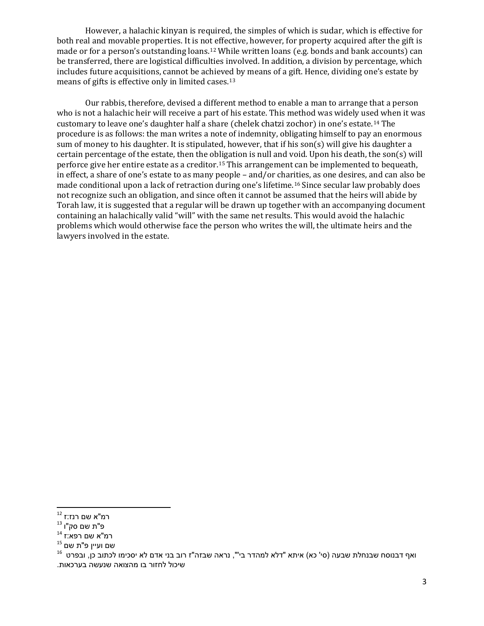However, a halachic kinyan is required, the simples of which is sudar, which is effective for both real and movable properties. It is no[t e](#page-2-0)ffective, however, for property acquired after the gift is made or for a person's outstanding loans.<sup>12</sup> While written loans (e.g. bonds and bank accounts) can be transferred, there are logistical difficulties involved. In addition, a division by percentage, which includes future acquisitions, cannot be achiev[ed b](#page-2-1)y means of a gift. Hence, dividing one's estate by means of gifts is effective only in limited cases.13

 Our rabbis, therefore, devised a different method to enable a man to arrange that a person [who is not a halachic heir will receive a part of his estate. This method was widely used when it was](#page-2-1)  customary to leave one's daughter half a share (chelek chatzi zochor) in one's estate.<sup>14</sup> The [procedure is as follows: the man writes a note of indemnity, obligating himself to pay an enormous](#page-2-2)  sum of money to his daughter. It is stipulated, however, that if his son(s) will give his daughter a certain percentage of the estate, then the obligation is null and void. Upon his death, the son $(s)$  will perforce give her entire estate as a creditor.15 This arrangement can be implemented to bequeath, [in effect, a share of one's estate to as many people – and/or charities, as one desires, and can also be](#page-2-3)  made conditional upon a lack of retraction during one's lifetime.16 Since secular law probably does [not recognize such an obligation, and since often it cannot be assumed that the heirs will abide by](#page-2-3)  [Torah law, it is suggested that a regular will be drawn up together with an accompanying document](#page-2-3)  containing an halachically valid "will" with the same net results. This would avoid the halachic [problems which would otherwise face the person who writes the will, the ultimate heirs and the](#page-2-3)  lawyers involved in the estate.

<span id="page-2-1"></span>

<span id="page-2-3"></span><span id="page-2-2"></span>

<span id="page-2-0"></span>רמ"א שם רנז:ז <sup>12</sup><br>פ"ת שם סק"ו <sup>13</sup><br><sup>14 ואף דבנוסח שבנחלת שבעה (סי' כא) איתא "דלא למהדר בי"", נראה שבזה"ז רוב בני אדם לא יסכימו לכתוב כן, ובפרט <sup>16</sup><br><sup>16</sup> ואף דבנוסח שבנחלת שבעה (סי' כא) איתא "דלא למהדר בי"", נראה שבזה"ז ר</sup> שיכול לחזור בו מהצואה שנעשה בערכאות .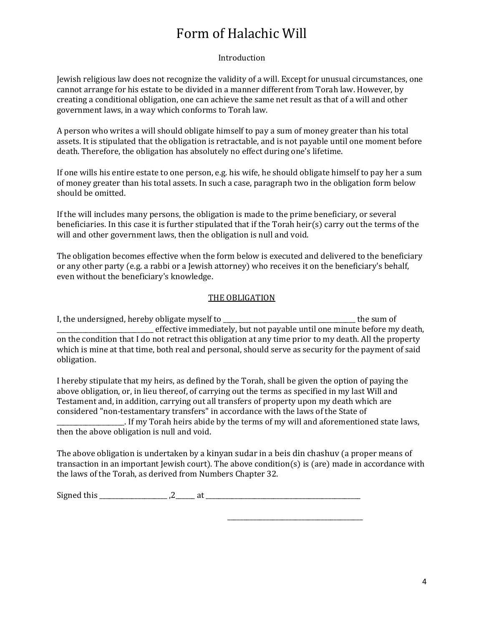# Form of Halachic Will

#### Introduction

Jewish religious law does not recognize the validity of a will. Except for unusual circumstances, one cannot arrange for his estate to be divided in a manner different from Torah law. However, by creating a conditional obligation, one can achieve the same net result as that of a will and other government laws, in a way which conforms to Torah law.

A person who writes a will should obligate himself to pay a sum of money greater than his total assets. It is stipulated that the obligation is retractable, and is not payable until one moment before death. Therefore, the obligation has absolutely no effect during one's lifetime.

If one wills his entire estate to one person, e.g. his wife, he should obligate himself to pay her a sum of money greater than his total assets. In such a case, paragraph two in the obligation form below should be omitted.

If the will includes many persons, the obligation is made to the prime beneficiary, or several beneficiaries. In this case it is further stipulated that if the Torah heir $(s)$  carry out the terms of the will and other government laws, then the obligation is null and void.

The obligation becomes effective when the form below is executed and delivered to the beneficiary or any other party (e.g. a rabbi or a Jewish attorney) who receives it on the beneficiary's behalf, even without the beneficiary's knowledge.

#### THE OBLIGATION

I, the undersigned, hereby obligate myself to \_\_\_\_\_\_\_\_\_\_\_\_\_\_\_\_\_\_\_\_\_\_\_\_\_\_\_\_\_\_\_\_\_\_\_\_\_\_\_\_\_ the sum of \_\_\_\_\_\_\_\_\_\_\_\_\_\_\_\_\_\_\_\_\_\_\_\_\_\_\_\_\_\_ effective immediately, but not payable until one minute before my death, on the condition that I do not retract this obligation at any time prior to my death. All the property which is mine at that time, both real and personal, should serve as security for the payment of said obligation.

I hereby stipulate that my heirs, as defined by the Torah, shall be given the option of paying the above obligation, or, in lieu thereof, of carrying out the terms as specified in my last Will and Testament and, in addition, carrying out all transfers of property upon my death which are considered "non‐testamentary transfers" in accordance with the laws of the State of \_\_\_\_\_\_\_\_\_\_\_\_\_\_\_\_\_\_\_\_\_. If my Torah heirs abide by the terms of my will and aforementioned state laws, then the above obligation is null and void.

The above obligation is undertaken by a kinyan sudar in a beis din chashuv (a proper means of transaction in an important Jewish court). The above condition(s) is (are) made in accordance with the laws of the Torah, as derived from Numbers Chapter 32.

Signed this \_\_\_\_\_\_\_\_\_\_\_\_\_\_\_\_\_\_\_\_\_ ,2\_\_\_\_\_\_ at \_\_\_\_\_\_\_\_\_\_\_\_\_\_\_\_\_\_\_\_\_\_\_\_\_\_\_\_\_\_\_\_\_\_\_\_\_\_\_\_\_\_\_\_\_\_\_\_

\_\_\_\_\_\_\_\_\_\_\_\_\_\_\_\_\_\_\_\_\_\_\_\_\_\_\_\_\_\_\_\_\_\_\_\_\_\_\_\_\_\_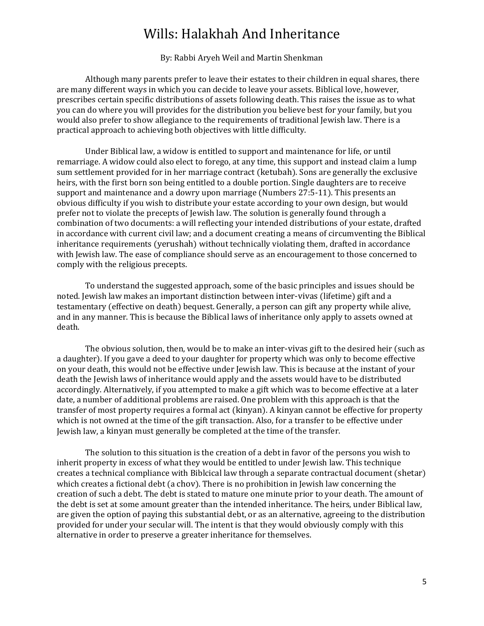### Wills: Halakhah And Inheritance

By: Rabbi Aryeh Weil and Martin Shenkman

 Although many parents prefer to leave their estates to their children in equal shares, there are many different ways in which you can decide to leave your assets. Biblical love, however, prescribes certain specific distributions of assets following death. This raises the issue as to what you can do where you will provides for the distribution you believe best for your family, but you would also prefer to show allegiance to the requirements of traditional Jewish law. There is a practical approach to achieving both objectives with little difficulty.

 Under Biblical law, a widow is entitled to support and maintenance for life, or until remarriage. A widow could also elect to forego, at any time, this support and instead claim a lump sum settlement provided for in her marriage contract (ketubah). Sons are generally the exclusive heirs, with the first born son being entitled to a double portion. Single daughters are to receive support and maintenance and a dowry upon marriage (Numbers  $27:5-11$ ). This presents an obvious difficulty if you wish to distribute your estate according to your own design, but would prefer not to violate the precepts of Jewish law. The solution is generally found through a combination of two documents: a will reflecting your intended distributions of your estate, drafted in accordance with current civil law; and a document creating a means of circumventing the Biblical inheritance requirements (yerushah) without technically violating them, drafted in accordance with Jewish law. The ease of compliance should serve as an encouragement to those concerned to comply with the religious precepts.

 To understand the suggested approach, some of the basic principles and issues should be noted. Jewish law makes an important distinction between inter-vivas (lifetime) gift and a testamentary (effective on death) bequest. Generally, a person can gift any property while alive, and in any manner. This is because the Biblical laws of inheritance only apply to assets owned at death.

The obvious solution, then, would be to make an inter-vivas gift to the desired heir (such as a daughter). If you gave a deed to your daughter for property which was only to become effective on your death, this would not be effective under Jewish law. This is because at the instant of your death the Jewish laws of inheritance would apply and the assets would have to be distributed accordingly. Alternatively, if you attempted to make a gift which was to become effective at a later date, a number of additional problems are raised. One problem with this approach is that the transfer of most property requires a formal act (kinyan). A kinyan cannot be effective for property which is not owned at the time of the gift transaction. Also, for a transfer to be effective under Jewish law, a kinyan must generally be completed at the time of the transfer.

 The solution to this situation is the creation of a debt in favor of the persons you wish to inherit property in excess of what they would be entitled to under Jewish law. This technique creates a technical compliance with Biblcical law through a separate contractual document (shetar) which creates a fictional debt  $(a \text{ chov})$ . There is no prohibition in Jewish law concerning the creation of such a debt. The debt is stated to mature one minute prior to your death. The amount of the debt is set at some amount greater than the intended inheritance. The heirs, under Biblical law, are given the option of paying this substantial debt, or as an alternative, agreeing to the distribution provided for under your secular will. The intent is that they would obviously comply with this alternative in order to preserve a greater inheritance for themselves.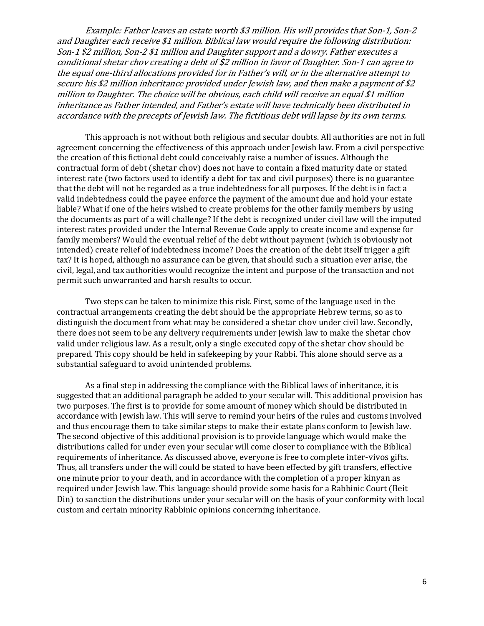Example: Father leaves an estate worth \$3 million. His will provides that Son‐1, Son‐2 and Daughter each receive \$1 million. Biblical law would require the following distribution: Son‐1 \$2 million, Son‐2 \$1 million and Daughter support and a dowry. Father executes a conditional shetar chov creating a debt of \$2 million in favor of Daughter. Son‐1 can agree to the equal one‐third allocations provided for in Father's will, or in the alternative attempt to secure his \$2 million inheritance provided under Jewish law, and then make a payment of \$2 million to Daughter. The choice will be obvious, each child will receive an equal \$1 million inheritance as Father intended, and Father's estate will have technically been distributed in accordance with the precepts of Jewish law. The fictitious debt will lapse by its own terms.

 This approach is not without both religious and secular doubts. All authorities are not in full agreement concerning the effectiveness of this approach under Jewish law. From a civil perspective the creation of this fictional debt could conceivably raise a number of issues. Although the contractual form of debt (shetar chov) does not have to contain a fixed maturity date or stated interest rate (two factors used to identify a debt for tax and civil purposes) there is no guarantee that the debt will not be regarded as a true indebtedness for all purposes. If the debt is in fact a valid indebtedness could the payee enforce the payment of the amount due and hold your estate liable? What if one of the heirs wished to create problems for the other family members by using the documents as part of a will challenge? If the debt is recognized under civil law will the imputed interest rates provided under the Internal Revenue Code apply to create income and expense for family members? Would the eventual relief of the debt without payment (which is obviously not intended) create relief of indebtedness income? Does the creation of the debt itself trigger a gift tax? It is hoped, although no assurance can be given, that should such a situation ever arise, the civil, legal, and tax authorities would recognize the intent and purpose of the transaction and not permit such unwarranted and harsh results to occur.

 Two steps can be taken to minimize this risk. First, some of the language used in the contractual arrangements creating the debt should be the appropriate Hebrew terms, so as to distinguish the document from what may be considered a shetar chov under civil law. Secondly, there does not seem to be any delivery requirements under Jewish law to make the shetar chov valid under religious law. As a result, only a single executed copy of the shetar chov should be prepared. This copy should be held in safekeeping by your Rabbi. This alone should serve as a substantial safeguard to avoid unintended problems.

 As a final step in addressing the compliance with the Biblical laws of inheritance, it is suggested that an additional paragraph be added to your secular will. This additional provision has two purposes. The first is to provide for some amount of money which should be distributed in accordance with Jewish law. This will serve to remind your heirs of the rules and customs involved and thus encourage them to take similar steps to make their estate plans conform to Jewish law. The second objective of this additional provision is to provide language which would make the distributions called for under even your secular will come closer to compliance with the Biblical requirements of inheritance. As discussed above, everyone is free to complete inter‐vivos gifts. Thus, all transfers under the will could be stated to have been effected by gift transfers, effective one minute prior to your death, and in accordance with the completion of a proper kinyan as required under Jewish law. This language should provide some basis for a Rabbinic Court (Beit Din) to sanction the distributions under your secular will on the basis of your conformity with local custom and certain minority Rabbinic opinions concerning inheritance.